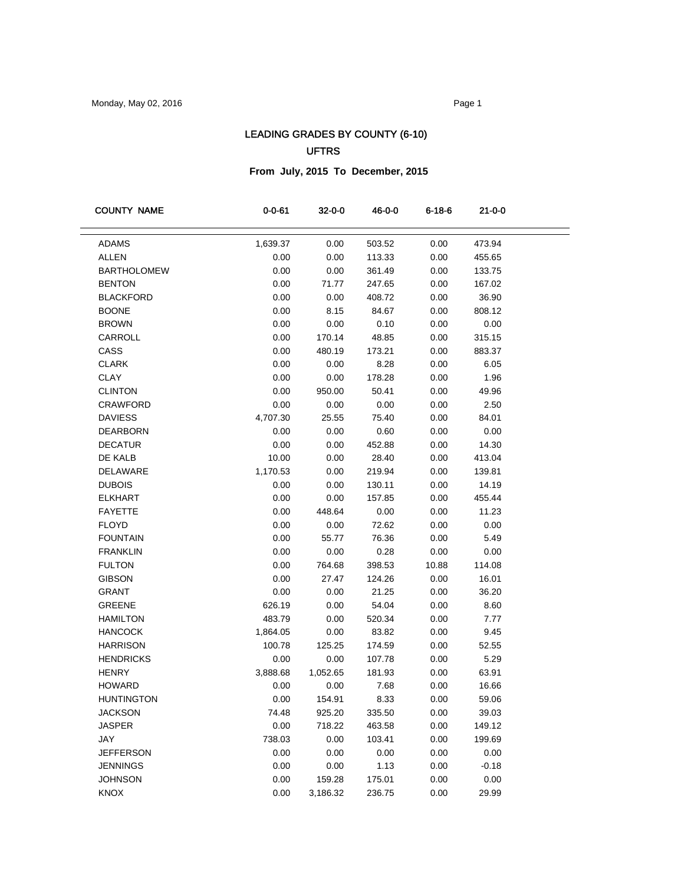# LEADING GRADES BY COUNTY (6-10) UFTRS

## **From July, 2015 To December, 2015**

| <b>COUNTY NAME</b> | 0-0-61   | $32 - 0 - 0$ | 46-0-0 | 6-18-6 | 21-0-0  |  |
|--------------------|----------|--------------|--------|--------|---------|--|
| <b>ADAMS</b>       | 1,639.37 | 0.00         | 503.52 | 0.00   | 473.94  |  |
| ALLEN              | 0.00     | 0.00         | 113.33 | 0.00   | 455.65  |  |
| <b>BARTHOLOMEW</b> | 0.00     | 0.00         | 361.49 | 0.00   | 133.75  |  |
| <b>BENTON</b>      | 0.00     | 71.77        | 247.65 | 0.00   | 167.02  |  |
| <b>BLACKFORD</b>   | 0.00     | 0.00         | 408.72 | 0.00   | 36.90   |  |
| <b>BOONE</b>       | 0.00     | 8.15         | 84.67  | 0.00   | 808.12  |  |
| <b>BROWN</b>       | 0.00     | 0.00         | 0.10   | 0.00   | 0.00    |  |
| CARROLL            | 0.00     | 170.14       | 48.85  | 0.00   | 315.15  |  |
| CASS               | 0.00     | 480.19       | 173.21 | 0.00   | 883.37  |  |
| <b>CLARK</b>       | 0.00     | 0.00         | 8.28   | 0.00   | 6.05    |  |
| <b>CLAY</b>        | 0.00     | 0.00         | 178.28 | 0.00   | 1.96    |  |
| <b>CLINTON</b>     | 0.00     | 950.00       | 50.41  | 0.00   | 49.96   |  |
| <b>CRAWFORD</b>    | 0.00     | 0.00         | 0.00   | 0.00   | 2.50    |  |
| <b>DAVIESS</b>     | 4,707.30 | 25.55        | 75.40  | 0.00   | 84.01   |  |
| <b>DEARBORN</b>    | 0.00     | 0.00         | 0.60   | 0.00   | 0.00    |  |
| <b>DECATUR</b>     | 0.00     | 0.00         | 452.88 | 0.00   | 14.30   |  |
| DE KALB            | 10.00    | 0.00         | 28.40  | 0.00   | 413.04  |  |
| <b>DELAWARE</b>    | 1,170.53 | 0.00         | 219.94 | 0.00   | 139.81  |  |
| <b>DUBOIS</b>      | 0.00     | 0.00         | 130.11 | 0.00   | 14.19   |  |
| <b>ELKHART</b>     | 0.00     | 0.00         | 157.85 | 0.00   | 455.44  |  |
| <b>FAYETTE</b>     | 0.00     | 448.64       | 0.00   | 0.00   | 11.23   |  |
| <b>FLOYD</b>       | 0.00     | 0.00         | 72.62  | 0.00   | 0.00    |  |
| <b>FOUNTAIN</b>    | 0.00     | 55.77        | 76.36  | 0.00   | 5.49    |  |
| <b>FRANKLIN</b>    | 0.00     | 0.00         | 0.28   | 0.00   | 0.00    |  |
| <b>FULTON</b>      | 0.00     | 764.68       | 398.53 | 10.88  | 114.08  |  |
| <b>GIBSON</b>      | 0.00     | 27.47        | 124.26 | 0.00   | 16.01   |  |
| GRANT              | 0.00     | 0.00         | 21.25  | 0.00   | 36.20   |  |
| <b>GREENE</b>      | 626.19   | 0.00         | 54.04  | 0.00   | 8.60    |  |
| <b>HAMILTON</b>    | 483.79   | 0.00         | 520.34 | 0.00   | 7.77    |  |
| <b>HANCOCK</b>     | 1,864.05 | 0.00         | 83.82  | 0.00   | 9.45    |  |
| <b>HARRISON</b>    | 100.78   | 125.25       | 174.59 | 0.00   | 52.55   |  |
| <b>HENDRICKS</b>   | 0.00     | 0.00         | 107.78 | 0.00   | 5.29    |  |
| <b>HENRY</b>       | 3,888.68 | 1,052.65     | 181.93 | 0.00   | 63.91   |  |
| <b>HOWARD</b>      | 0.00     | 0.00         | 7.68   | 0.00   | 16.66   |  |
| <b>HUNTINGTON</b>  | 0.00     | 154.91       | 8.33   | 0.00   | 59.06   |  |
| <b>JACKSON</b>     | 74.48    | 925.20       | 335.50 | 0.00   | 39.03   |  |
| <b>JASPER</b>      | 0.00     | 718.22       | 463.58 | 0.00   | 149.12  |  |
| JAY                | 738.03   | 0.00         | 103.41 | 0.00   | 199.69  |  |
| <b>JEFFERSON</b>   | 0.00     | 0.00         | 0.00   | 0.00   | 0.00    |  |
| <b>JENNINGS</b>    | 0.00     | 0.00         | 1.13   | 0.00   | $-0.18$ |  |
| <b>JOHNSON</b>     | 0.00     | 159.28       | 175.01 | 0.00   | 0.00    |  |
| KNOX               | 0.00     | 3,186.32     | 236.75 | 0.00   | 29.99   |  |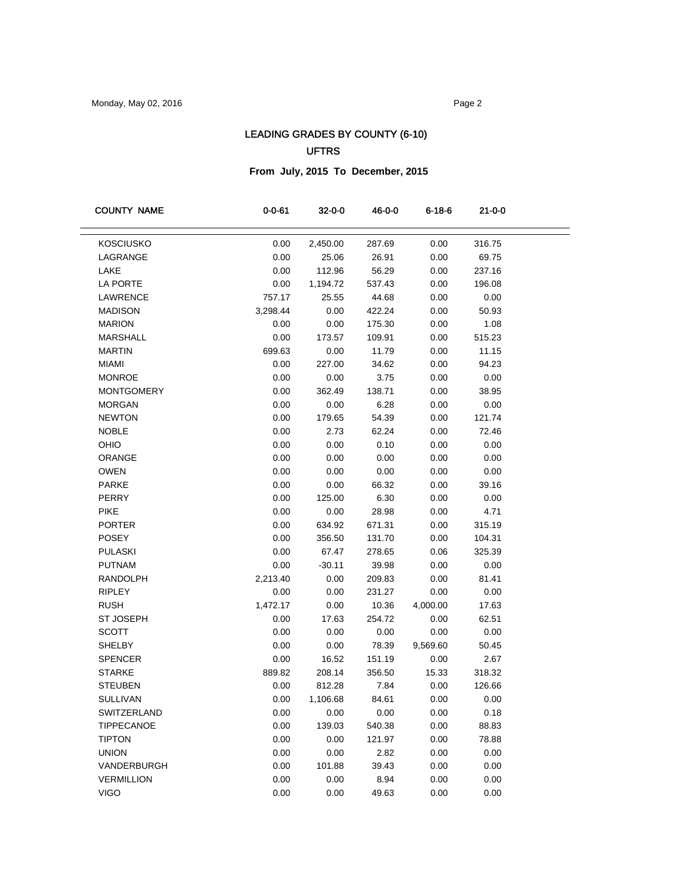# LEADING GRADES BY COUNTY (6-10) UFTRS

## **From July, 2015 To December, 2015**

| <b>COUNTY NAME</b> | $0 - 0 - 61$ | 32-0-0   | 46-0-0 | 6-18-6   | 21-0-0 |  |
|--------------------|--------------|----------|--------|----------|--------|--|
|                    |              |          |        |          |        |  |
| <b>KOSCIUSKO</b>   | 0.00         | 2,450.00 | 287.69 | 0.00     | 316.75 |  |
| LAGRANGE           | 0.00         | 25.06    | 26.91  | 0.00     | 69.75  |  |
| LAKE               | 0.00         | 112.96   | 56.29  | 0.00     | 237.16 |  |
| LA PORTE           | 0.00         | 1,194.72 | 537.43 | 0.00     | 196.08 |  |
| LAWRENCE           | 757.17       | 25.55    | 44.68  | 0.00     | 0.00   |  |
| <b>MADISON</b>     | 3,298.44     | 0.00     | 422.24 | 0.00     | 50.93  |  |
| <b>MARION</b>      | 0.00         | 0.00     | 175.30 | 0.00     | 1.08   |  |
| <b>MARSHALL</b>    | 0.00         | 173.57   | 109.91 | 0.00     | 515.23 |  |
| <b>MARTIN</b>      | 699.63       | 0.00     | 11.79  | 0.00     | 11.15  |  |
| <b>MIAMI</b>       | 0.00         | 227.00   | 34.62  | 0.00     | 94.23  |  |
| <b>MONROE</b>      | 0.00         | 0.00     | 3.75   | 0.00     | 0.00   |  |
| <b>MONTGOMERY</b>  | 0.00         | 362.49   | 138.71 | 0.00     | 38.95  |  |
| <b>MORGAN</b>      | 0.00         | 0.00     | 6.28   | 0.00     | 0.00   |  |
| <b>NEWTON</b>      | 0.00         | 179.65   | 54.39  | 0.00     | 121.74 |  |
| <b>NOBLE</b>       | 0.00         | 2.73     | 62.24  | 0.00     | 72.46  |  |
| OHIO               | 0.00         | 0.00     | 0.10   | 0.00     | 0.00   |  |
| ORANGE             | 0.00         | 0.00     | 0.00   | 0.00     | 0.00   |  |
| <b>OWEN</b>        | 0.00         | 0.00     | 0.00   | 0.00     | 0.00   |  |
| <b>PARKE</b>       | 0.00         | 0.00     | 66.32  | 0.00     | 39.16  |  |
| PERRY              | 0.00         | 125.00   | 6.30   | 0.00     | 0.00   |  |
| <b>PIKE</b>        | 0.00         | 0.00     | 28.98  | 0.00     | 4.71   |  |
| <b>PORTER</b>      | 0.00         | 634.92   | 671.31 | 0.00     | 315.19 |  |
| <b>POSEY</b>       | 0.00         | 356.50   | 131.70 | 0.00     | 104.31 |  |
| <b>PULASKI</b>     | 0.00         | 67.47    | 278.65 | 0.06     | 325.39 |  |
| <b>PUTNAM</b>      | 0.00         | $-30.11$ | 39.98  | 0.00     | 0.00   |  |
| <b>RANDOLPH</b>    | 2,213.40     | 0.00     | 209.83 | 0.00     | 81.41  |  |
| <b>RIPLEY</b>      | 0.00         | 0.00     | 231.27 | 0.00     | 0.00   |  |
| <b>RUSH</b>        | 1,472.17     | 0.00     | 10.36  | 4,000.00 | 17.63  |  |
| ST JOSEPH          | 0.00         | 17.63    | 254.72 | 0.00     | 62.51  |  |
| <b>SCOTT</b>       | 0.00         | 0.00     | 0.00   | 0.00     | 0.00   |  |
| <b>SHELBY</b>      | 0.00         | 0.00     | 78.39  | 9,569.60 | 50.45  |  |
| <b>SPENCER</b>     | 0.00         | 16.52    | 151.19 | 0.00     | 2.67   |  |
| <b>STARKE</b>      | 889.82       | 208.14   | 356.50 | 15.33    | 318.32 |  |
| <b>STEUBEN</b>     | 0.00         | 812.28   | 7.84   | 0.00     | 126.66 |  |
| SULLIVAN           | 0.00         | 1,106.68 | 84.61  | 0.00     | 0.00   |  |
| SWITZERLAND        | 0.00         | 0.00     | 0.00   | 0.00     | 0.18   |  |
| <b>TIPPECANOE</b>  | 0.00         | 139.03   | 540.38 | 0.00     | 88.83  |  |
| <b>TIPTON</b>      | 0.00         | 0.00     | 121.97 | 0.00     | 78.88  |  |
| <b>UNION</b>       | 0.00         | 0.00     | 2.82   | 0.00     | 0.00   |  |
| VANDERBURGH        | 0.00         | 101.88   | 39.43  | 0.00     | 0.00   |  |
| <b>VERMILLION</b>  | 0.00         | 0.00     | 8.94   | 0.00     | 0.00   |  |
| <b>VIGO</b>        | 0.00         | 0.00     | 49.63  | 0.00     | 0.00   |  |